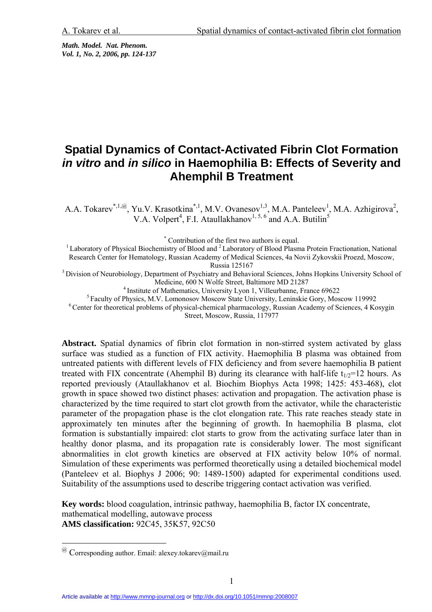*Math. Model. Nat. Phenom. Vol. 1, No. 2, 2006, pp. 124-137* 

# **Spatial Dynamics of Contact-Activated Fibrin Clot Formation**  *in vitro* **and** *in silico* **in Haemophilia B: Effects of Severity and Ahemphil B Treatment**

A.A. Tokarev<sup>\*,1,@</sup>, Yu.V. Krasotkina<sup>\*,1</sup>, M.V. Ovanesov<sup>1,3</sup>, M.A. Panteleev<sup>1</sup>, M.A. Azhigirova<sup>2</sup>, V.A. Volpert<sup>4</sup>, F.I. Ataullakhanov<sup>1, 5, 6</sup> and A.A. Butilin<sup>5</sup>

\* Contribution of the first two authors is equal.

<sup>1</sup> Laboratory of Physical Biochemistry of Blood and <sup>2</sup> Laboratory of Blood Plasma Protein Fractionation, National Research Center for Hematology, Russian Academy of Medical Sciences, 4a Novii Zykovskii Proezd, Moscow,

Russia 125167<br><sup>3</sup> Division of Neurobiology, Department of Psychiatry and Behavioral Sciences, Johns Hopkins University School of<br>Medicine, 600 N Wolfe Street, Baltimore MD 21287

<sup>4</sup> Institute of Mathematics, University Lyon 1, Villeurbanne, France 69622<br><sup>5</sup> Faculty of Physics, M.V. Lomonosov Moscow State University, Leninskie Gory, Moscow 119992<br><sup>6</sup> Center for theoretical problems of physical-chem Street, Moscow, Russia, 117977

**Abstract.** Spatial dynamics of fibrin clot formation in non-stirred system activated by glass surface was studied as a function of FIX activity. Haemophilia B plasma was obtained from untreated patients with different levels of FIX deficiency and from severe haemophilia B patient treated with FIX concentrate (Ahemphil B) during its clearance with half-life  $t_{1/2}=12$  hours. As reported previously (Ataullakhanov et al. Biochim Biophys Acta 1998; 1425: 453-468), clot growth in space showed two distinct phases: activation and propagation. The activation phase is characterized by the time required to start clot growth from the activator, while the characteristic parameter of the propagation phase is the clot elongation rate. This rate reaches steady state in approximately ten minutes after the beginning of growth. In haemophilia B plasma, clot formation is substantially impaired: clot starts to grow from the activating surface later than in healthy donor plasma, and its propagation rate is considerably lower. The most significant abnormalities in clot growth kinetics are observed at FIX activity below 10% of normal. Simulation of these experiments was performed theoretically using a detailed biochemical model (Panteleev et al. Biophys J 2006; 90: 1489-1500) adapted for experimental conditions used. Suitability of the assumptions used to describe triggering contact activation was verified.

**Key words:** blood coagulation, intrinsic pathway, haemophilia B, factor IX concentrate, mathematical modelling, autowave process **AMS classification:** 92C45, 35K57, 92C50

 $\overline{a}$ 

 $\omega$  Corresponding author. Email: alexey.tokarev@mail.ru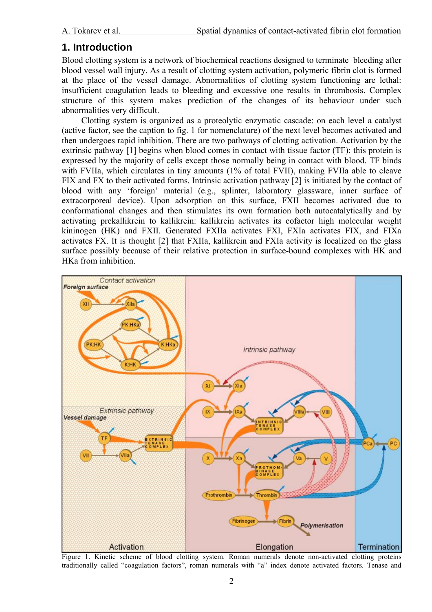## **1. Introduction**

Blood clotting system is a network of biochemical reactions designed to terminate bleeding after blood vessel wall injury. As a result of clotting system activation, polymeric fibrin clot is formed at the place of the vessel damage. Abnormalities of clotting system functioning are lethal: insufficient coagulation leads to bleeding and excessive one results in thrombosis. Complex structure of this system makes prediction of the changes of its behaviour under such abnormalities very difficult.

Clotting system is organized as a proteolytic enzymatic cascade: on each level a catalyst (active factor, see the caption to fig. 1 for nomenclature) of the next level becomes activated and then undergoes rapid inhibition. There are two pathways of clotting activation. Activation by the extrinsic pathway [1] begins when blood comes in contact with tissue factor (TF): this protein is expressed by the majority of cells except those normally being in contact with blood. TF binds with FVIIa, which circulates in tiny amounts (1% of total FVII), making FVIIa able to cleave FIX and FX to their activated forms. Intrinsic activation pathway [2] is initiated by the contact of blood with any 'foreign' material (e.g., splinter, laboratory glassware, inner surface of extracorporeal device). Upon adsorption on this surface, FXII becomes activated due to conformational changes and then stimulates its own formation both autocatalytically and by activating prekallikrein to kallikrein: kallikrein activates its cofactor high molecular weight kininogen (HK) and FXII. Generated FXIIa activates FXI, FXIa activates FIX, and FIXa activates FX. It is thought [2] that FXIIa, kallikrein and FXIa activity is localized on the glass surface possibly because of their relative protection in surface-bound complexes with HK and HKa from inhibition.



Figure 1. Kinetic scheme of blood clotting system. Roman numerals denote non-activated clotting proteins traditionally called "coagulation factors", roman numerals with "a" index denote activated factors. Tenase and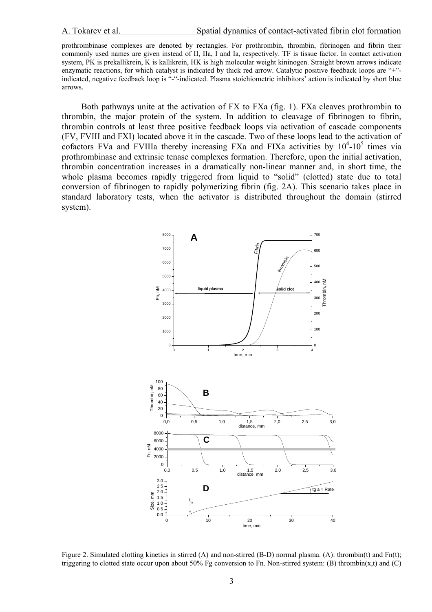prothrombinase complexes are denoted by rectangles. For prothrombin, thrombin, fibrinogen and fibrin their commonly used names are given instead of II, IIa, I and Ia, respectively. TF is tissue factor. In contact activation system, PK is prekallikrein, K is kallikrein, HK is high molecular weight kininogen. Straight brown arrows indicate enzymatic reactions, for which catalyst is indicated by thick red arrow. Catalytic positive feedback loops are "+" indicated, negative feedback loop is "-"-indicated. Plasma stoichiometric inhibitors' action is indicated by short blue arrows.

Both pathways unite at the activation of FX to FXa (fig. 1). FXa cleaves prothrombin to thrombin, the major protein of the system. In addition to cleavage of fibrinogen to fibrin, thrombin controls at least three positive feedback loops via activation of cascade components (FV, FVIII and FXI) located above it in the cascade. Two of these loops lead to the activation of cofactors FVa and FVIIIa thereby increasing FXa and FIXa activities by  $10^4$ - $10^5$  times via prothrombinase and extrinsic tenase complexes formation. Therefore, upon the initial activation, thrombin concentration increases in a dramatically non-linear manner and, in short time, the whole plasma becomes rapidly triggered from liquid to "solid" (clotted) state due to total conversion of fibrinogen to rapidly polymerizing fibrin (fig. 2A). This scenario takes place in standard laboratory tests, when the activator is distributed throughout the domain (stirred system).



Figure 2. Simulated clotting kinetics in stirred (A) and non-stirred (B-D) normal plasma. (A): thrombin(t) and Fn(t); triggering to clotted state occur upon about 50% Fg conversion to Fn. Non-stirred system: (B) thrombin(x,t) and (C)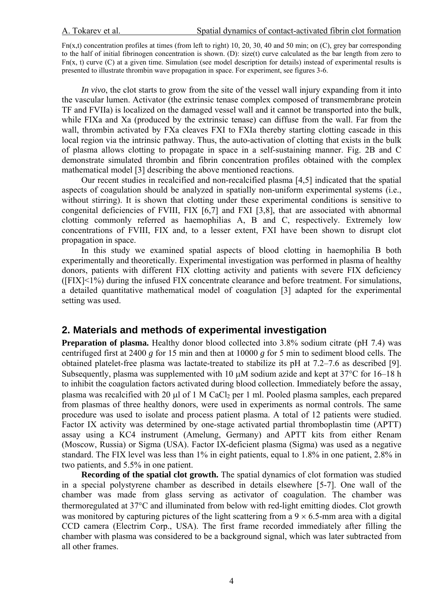$Fn(x,t)$  concentration profiles at times (from left to right) 10, 20, 30, 40 and 50 min; on (C), grey bar corresponding to the half of initial fibrinogen concentration is shown. (D): size(t) curve calculated as the bar length from zero to  $Fn(x, t)$  curve  $(C)$  at a given time. Simulation (see model description for details) instead of experimental results is presented to illustrate thrombin wave propagation in space. For experiment, see figures 3-6.

*In vivo*, the clot starts to grow from the site of the vessel wall injury expanding from it into the vascular lumen. Activator (the extrinsic tenase complex composed of transmembrane protein TF and FVIIa) is localized on the damaged vessel wall and it cannot be transported into the bulk, while FIXa and Xa (produced by the extrinsic tenase) can diffuse from the wall. Far from the wall, thrombin activated by FXa cleaves FXI to FXIa thereby starting clotting cascade in this local region via the intrinsic pathway. Thus, the auto-activation of clotting that exists in the bulk of plasma allows clotting to propagate in space in a self-sustaining manner. Fig. 2B and C demonstrate simulated thrombin and fibrin concentration profiles obtained with the complex mathematical model [3] describing the above mentioned reactions.

Our recent studies in recalcified and non-recalcified plasma [4,5] indicated that the spatial aspects of coagulation should be analyzed in spatially non-uniform experimental systems (i.e., without stirring). It is shown that clotting under these experimental conditions is sensitive to congenital deficiencies of FVIII, FIX [6,7] and FXI [3,8], that are associated with abnormal clotting commonly referred as haemophilias A, B and C, respectively. Extremely low concentrations of FVIII, FIX and, to a lesser extent, FXI have been shown to disrupt clot propagation in space.

In this study we examined spatial aspects of blood clotting in haemophilia B both experimentally and theoretically. Experimental investigation was performed in plasma of healthy donors, patients with different FIX clotting activity and patients with severe FIX deficiency ([FIX]<1%) during the infused FIX concentrate clearance and before treatment. For simulations, a detailed quantitative mathematical model of coagulation [3] adapted for the experimental setting was used.

## **2. Materials and methods of experimental investigation**

**Preparation of plasma.** Healthy donor blood collected into 3.8% sodium citrate (pH 7.4) was centrifuged first at 2400 *g* for 15 min and then at 10000 *g* for 5 min to sediment blood cells. The obtained platelet-free plasma was lactate-treated to stabilize its pH at 7.2–7.6 as described [9]. Subsequently, plasma was supplemented with 10  $\mu$ M sodium azide and kept at 37°C for 16–18 h to inhibit the coagulation factors activated during blood collection. Immediately before the assay, plasma was recalcified with 20 µl of 1 M CaCl<sub>2</sub> per 1 ml. Pooled plasma samples, each prepared from plasmas of three healthy donors, were used in experiments as normal controls. The same procedure was used to isolate and process patient plasma. A total of 12 patients were studied. Factor IX activity was determined by one-stage activated partial thromboplastin time (APTT) assay using a KC4 instrument (Amelung, Germany) and APTT kits from either Renam (Moscow, Russia) or Sigma (USA). Factor IX-deficient plasma (Sigma) was used as a negative standard. The FIX level was less than 1% in eight patients, equal to 1.8% in one patient, 2.8% in two patients, and 5.5% in one patient.

**Recording of the spatial clot growth.** The spatial dynamics of clot formation was studied in a special polystyrene chamber as described in details elsewhere [5-7]. One wall of the chamber was made from glass serving as activator of coagulation. The chamber was thermoregulated at 37°C and illuminated from below with red-light emitting diodes. Clot growth was monitored by capturing pictures of the light scattering from a  $9 \times 6.5$ -mm area with a digital CCD camera (Electrim Corp., USA). The first frame recorded immediately after filling the chamber with plasma was considered to be a background signal, which was later subtracted from all other frames.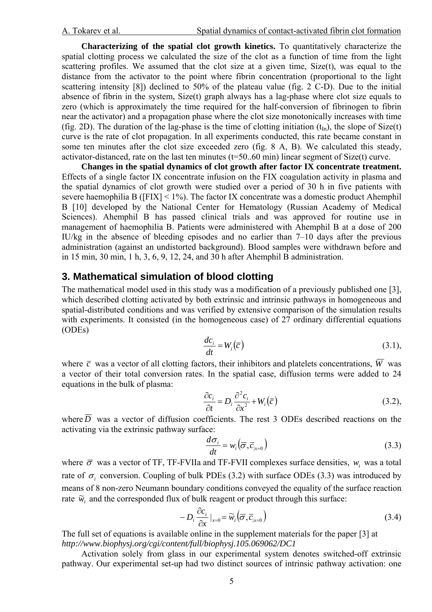**Characterizing of the spatial clot growth kinetics.** To quantitatively characterize the spatial clotting process we calculated the size of the clot as a function of time from the light scattering profiles. We assumed that the clot size at a given time,  $Size(t)$ , was equal to the distance from the activator to the point where fibrin concentration (proportional to the light scattering intensity [8]) declined to 50% of the plateau value (fig. 2 С-D). Due to the initial absence of fibrin in the system, Size(t) graph always has a lag-phase where clot size equals to zero (which is approximately the time required for the half-conversion of fibrinogen to fibrin near the activator) and a propagation phase where the clot size monotonically increases with time (fig. 2D). The duration of the lag-phase is the time of clotting initiation  $(t<sub>In</sub>)$ , the slope of Size(t) curve is the rate of clot propagation. In all experiments conducted, this rate became constant in some ten minutes after the clot size exceeded zero (fig. 8 A, B). We calculated this steady, activator-distanced, rate on the last ten minutes (t=50..60 min) linear segment of Size(t) curve.

**Changes in the spatial dynamics of clot growth after factor IX concentrate treatment.** Effects of a single factor IX concentrate infusion on the FIX coagulation activity in plasma and the spatial dynamics of clot growth were studied over a period of 30 h in five patients with severe haemophilia B ( $[FIN] < 1\%$ ). The factor IX concentrate was a domestic product Ahemphil B [10] developed by the National Center for Hematology (Russian Academy of Medical Sciences). Ahemphil B has passed clinical trials and was approved for routine use in management of haemophilia B. Patients were administered with Ahemphil B at a dose of 200 IU/kg in the absence of bleeding episodes and no earlier than 7–10 days after the previous administration (against an undistorted background). Blood samples were withdrawn before and in 15 min, 30 min, 1 h, 3, 6, 9, 12, 24, and 30 h after Ahemphil B administration.

## **3. Mathematical simulation of blood clotting**

The mathematical model used in this study was a modification of a previously published one [3], which described clotting activated by both extrinsic and intrinsic pathways in homogeneous and spatial-distributed conditions and was verified by extensive comparison of the simulation results with experiments. It consisted (in the homogeneous case) of 27 ordinary differential equations (ODEs)

$$
\frac{dc_i}{dt} = W_i(\overline{c})\tag{3.1},
$$

where  $\bar{c}$  was a vector of all clotting factors, their inhibitors and platelets concentrations,  $\bar{W}$  was a vector of their total conversion rates. In the spatial case, diffusion terms were added to 24 equations in the bulk of plasma:

$$
\frac{\partial c_i}{\partial t} = D_i \frac{\partial^2 c_i}{\partial x^2} + W_i(\overline{c})
$$
\n(3.2),

where  $\overline{D}$  was a vector of diffusion coefficients. The rest 3 ODEs described reactions on the activating via the extrinsic pathway surface:

$$
\frac{d\sigma_i}{dt} = w_i \left( \overline{\sigma}, \overline{c}_{|x=0} \right)
$$
\n(3.3)

where  $\bar{\sigma}$  was a vector of TF, TF-FVIIa and TF-FVII complexes surface densities,  $w_i$  was a total rate of  $\sigma_i$  conversion. Coupling of bulk PDEs (3.2) with surface ODEs (3.3) was introduced by means of 8 non-zero Neumann boundary conditions conveyed the equality of the surface reaction rate  $\widetilde{w}_i$  and the corresponded flux of bulk reagent or product through this surface:

$$
-D_i \frac{\partial c_i}{\partial x}\big|_{x=0} = \widetilde{w}_i \big( \overline{\sigma}, \overline{c}_{|x=0} \big)
$$
 (3.4)

The full set of equations is available online in the supplement materials for the paper [3] at *http://www.biophysj.org/cgi/content/full/biophysj.105.069062/DC1*

Activation solely from glass in our experimental system denotes switched-off extrinsic pathway. Our experimental set-up had two distinct sources of intrinsic pathway activation: one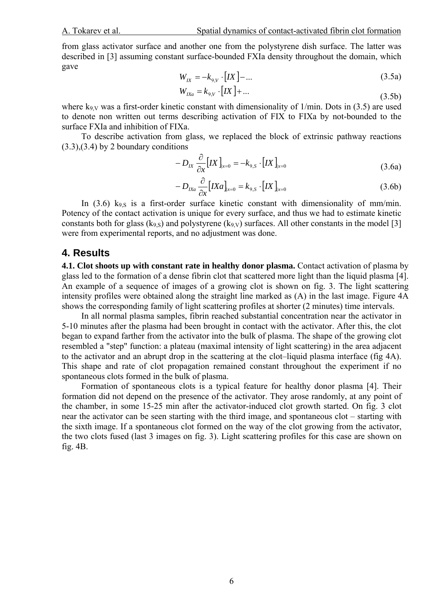from glass activator surface and another one from the polystyrene dish surface. The latter was described in [3] assuming constant surface-bounded FXIa density throughout the domain, which gave

$$
W_{IX} = -k_{9,V} \cdot [IX] - \dots
$$
 (3.5a)

$$
W_{IXa} = k_{9,V} \cdot [IX] + \dots \tag{3.5b}
$$

where  $k_{9,V}$  was a first-order kinetic constant with dimensionality of  $1/\text{min}$ . Dots in (3.5) are used to denote non written out terms describing activation of FIX to FIXa by not-bounded to the surface FXIa and inhibition of FIXa.

To describe activation from glass, we replaced the block of extrinsic pathway reactions  $(3.3),(3.4)$  by 2 boundary conditions

$$
-D_{IX}\frac{\partial}{\partial x}\big[IX\big]_{x=0} = -k_{9,S}\cdot\big[IX\big]_{x=0}
$$
\n(3.6a)

$$
-D_{IXa}\frac{\partial}{\partial x}\big[IXa\big]_{x=0} = k_{9,S} \cdot \big[IX\big]_{x=0}
$$
\n(3.6b)

In  $(3.6)$  k<sub>9,S</sub> is a first-order surface kinetic constant with dimensionality of mm/min. Potency of the contact activation is unique for every surface, and thus we had to estimate kinetic constants both for glass (k<sub>9,S</sub>) and polystyrene (k<sub>9,V</sub>) surfaces. All other constants in the model [3] were from experimental reports, and no adjustment was done.

#### **4. Results**

**4.1. Clot shoots up with constant rate in healthy donor plasma.** Contact activation of plasma by glass led to the formation of a dense fibrin clot that scattered more light than the liquid plasma [4]. An example of a sequence of images of a growing clot is shown on fig. 3. The light scattering intensity profiles were obtained along the straight line marked as (A) in the last image. Figure 4A shows the corresponding family of light scattering profiles at shorter (2 minutes) time intervals.

In all normal plasma samples, fibrin reached substantial concentration near the activator in 5-10 minutes after the plasma had been brought in contact with the activator. After this, the clot began to expand farther from the activator into the bulk of plasma. The shape of the growing clot resembled a "step" function: a plateau (maximal intensity of light scattering) in the area adjacent to the activator and an abrupt drop in the scattering at the clot–liquid plasma interface (fig 4A). This shape and rate of clot propagation remained constant throughout the experiment if no spontaneous clots formed in the bulk of plasma.

Formation of spontaneous clots is a typical feature for healthy donor plasma [4]. Their formation did not depend on the presence of the activator. They arose randomly, at any point of the chamber, in some 15-25 min after the activator-induced clot growth started. On fig. 3 clot near the activator can be seen starting with the third image, and spontaneous clot – starting with the sixth image. If a spontaneous clot formed on the way of the clot growing from the activator, the two clots fused (last 3 images on fig. 3). Light scattering profiles for this case are shown on fig. 4B.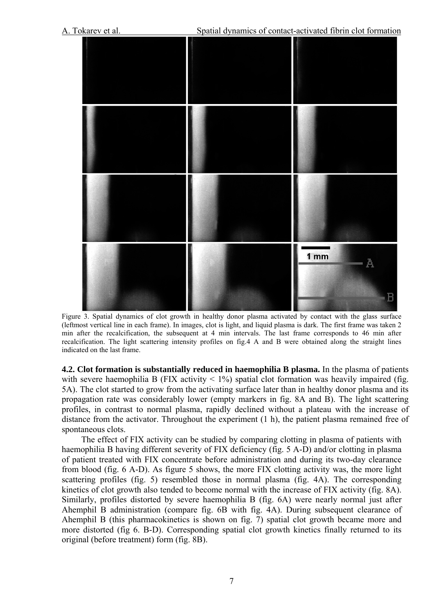

Figure 3. Spatial dynamics of clot growth in healthy donor plasma activated by contact with the glass surface (leftmost vertical line in each frame). In images, clot is light, and liquid plasma is dark. The first frame was taken 2 min after the recalcification, the subsequent at 4 min intervals. The last frame corresponds to 46 min after recalcification. The light scattering intensity profiles on fig.4 A and B were obtained along the straight lines indicated on the last frame.

**4.2. Clot formation is substantially reduced in haemophilia B plasma.** In the plasma of patients with severe haemophilia B (FIX activity  $\lt 1\%$ ) spatial clot formation was heavily impaired (fig. 5A). The clot started to grow from the activating surface later than in healthy donor plasma and its propagation rate was considerably lower (empty markers in fig. 8A and B). The light scattering profiles, in contrast to normal plasma, rapidly declined without a plateau with the increase of distance from the activator. Throughout the experiment (1 h), the patient plasma remained free of spontaneous clots.

The effect of FIX activity can be studied by comparing clotting in plasma of patients with haemophilia B having different severity of FIX deficiency (fig. 5 A-D) and/or clotting in plasma of patient treated with FIX concentrate before administration and during its two-day clearance from blood (fig. 6 A-D). As figure 5 shows, the more FIX clotting activity was, the more light scattering profiles (fig. 5) resembled those in normal plasma (fig. 4A). The corresponding kinetics of clot growth also tended to become normal with the increase of FIX activity (fig. 8A). Similarly, profiles distorted by severe haemophilia B (fig. 6A) were nearly normal just after Ahemphil B administration (compare fig. 6B with fig. 4A). During subsequent clearance of Ahemphil B (this pharmacokinetics is shown on fig. 7) spatial clot growth became more and more distorted (fig 6. B-D). Corresponding spatial clot growth kinetics finally returned to its original (before treatment) form (fig. 8B).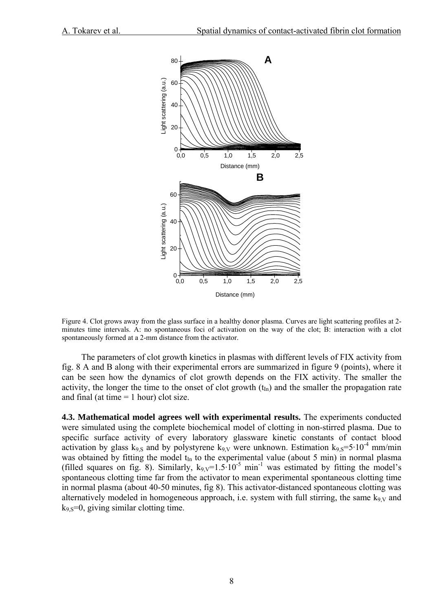

Figure 4. Clot grows away from the glass surface in a healthy donor plasma. Curves are light scattering profiles at 2 minutes time intervals. A: no spontaneous foci of activation on the way of the clot; B: interaction with a clot spontaneously formed at a 2-mm distance from the activator.

The parameters of clot growth kinetics in plasmas with different levels of FIX activity from fig. 8 A and B along with their experimental errors are summarized in figure 9 (points), where it can be seen how the dynamics of clot growth depends on the FIX activity. The smaller the activity, the longer the time to the onset of clot growth  $(t<sub>In</sub>)$  and the smaller the propagation rate and final (at time  $= 1$  hour) clot size.

**4.3. Mathematical model agrees well with experimental results.** The experiments conducted were simulated using the complete biochemical model of clotting in non-stirred plasma. Due to specific surface activity of every laboratory glassware kinetic constants of contact blood activation by glass  $k_{9, S}$  and by polystyrene  $k_{9, V}$  were unknown. Estimation  $k_{9, S} = 5 \cdot 10^{-4}$  mm/min was obtained by fitting the model  $t_{In}$  to the experimental value (about 5 min) in normal plasma (filled squares on fig. 8). Similarly,  $k_{9}y=1.5\cdot10^{-5}$  min<sup>-1</sup> was estimated by fitting the model's spontaneous clotting time far from the activator to mean experimental spontaneous clotting time in normal plasma (about 40-50 minutes, fig 8). This activator-distanced spontaneous clotting was alternatively modeled in homogeneous approach, i.e. system with full stirring, the same  $k_{9,V}$  and  $k_9$  s=0, giving similar clotting time.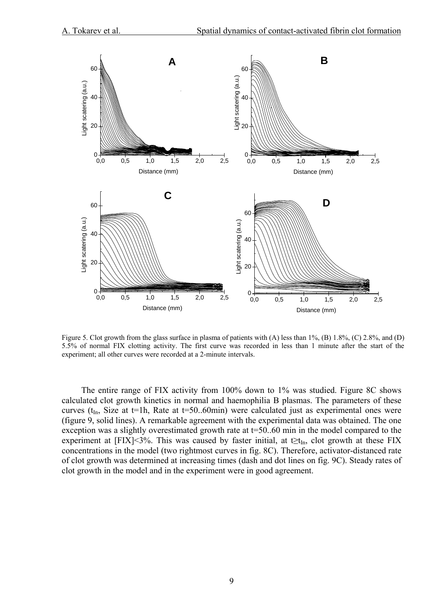

Figure 5. Clot growth from the glass surface in plasma of patients with (A) less than 1%, (B) 1.8%, (C) 2.8%, and (D) 5.5% of normal FIX clotting activity. The first curve was recorded in less than 1 minute after the start of the experiment; all other curves were recorded at a 2-minute intervals.

The entire range of FIX activity from 100% down to 1% was studied. Figure 8C shows calculated clot growth kinetics in normal and haemophilia B plasmas. The parameters of these curves ( $t_{In}$ , Size at t=1h, Rate at t=50..60min) were calculated just as experimental ones were (figure 9, solid lines). A remarkable agreement with the experimental data was obtained. The one exception was a slightly overestimated growth rate at t=50..60 min in the model compared to the experiment at [FIX]<3%. This was caused by faster initial, at t≥t<sub>In</sub>, clot growth at these FIX concentrations in the model (two rightmost curves in fig. 8C). Therefore, activator-distanced rate of clot growth was determined at increasing times (dash and dot lines on fig. 9C). Steady rates of clot growth in the model and in the experiment were in good agreement.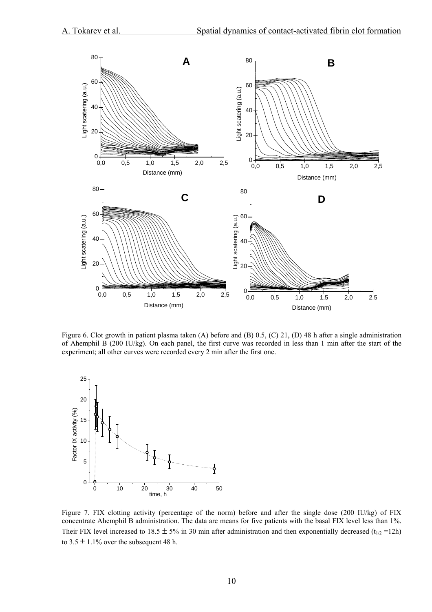

Figure 6. Clot growth in patient plasma taken (A) before and (B) 0.5, (C) 21, (D) 48 h after a single administration of Ahemphil B (200 IU/kg). On each panel, the first curve was recorded in less than 1 min after the start of the experiment; all other curves were recorded every 2 min after the first one.



Figure 7. FIX clotting activity (percentage of the norm) before and after the single dose (200 IU/kg) of FIX concentrate Ahemphil B administration. The data are means for five patients with the basal FIX level less than 1%. Their FIX level increased to 18.5  $\pm$  5% in 30 min after administration and then exponentially decreased (t<sub>1/2</sub> = 12h) to  $3.5 \pm 1.1\%$  over the subsequent 48 h.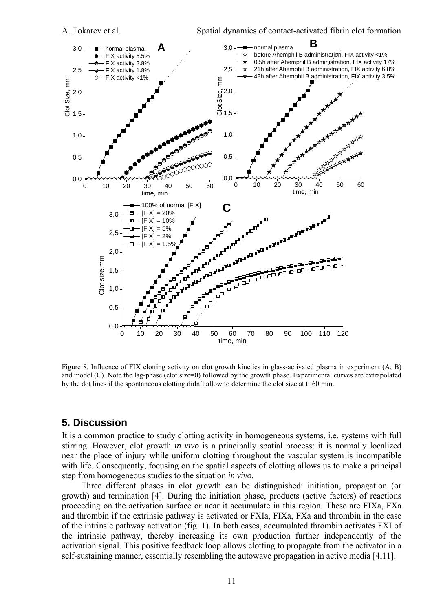

Figure 8. Influence of FIX clotting activity on clot growth kinetics in glass-activated plasma in experiment (A, B) and model (C). Note the lag-phase (clot size=0) followed by the growth phase. Experimental curves are extrapolated by the dot lines if the spontaneous clotting didn't allow to determine the clot size at t=60 min.

### **5. Discussion**

It is a common practice to study clotting activity in homogeneous systems, i.e. systems with full stirring. However, clot growth *in vivo* is a principally spatial process: it is normally localized near the place of injury while uniform clotting throughout the vascular system is incompatible with life. Consequently, focusing on the spatial aspects of clotting allows us to make a principal step from homogeneous studies to the situation *in vivo*.

Three different phases in clot growth can be distinguished: initiation, propagation (or growth) and termination [4]. During the initiation phase, products (active factors) of reactions proceeding on the activation surface or near it accumulate in this region. These are FIXa, FXa and thrombin if the extrinsic pathway is activated or FXIa, FIXa, FXa and thrombin in the case of the intrinsic pathway activation (fig. 1). In both cases, accumulated thrombin activates FXI of the intrinsic pathway, thereby increasing its own production further independently of the activation signal. This positive feedback loop allows clotting to propagate from the activator in a self-sustaining manner, essentially resembling the autowave propagation in active media [4,11].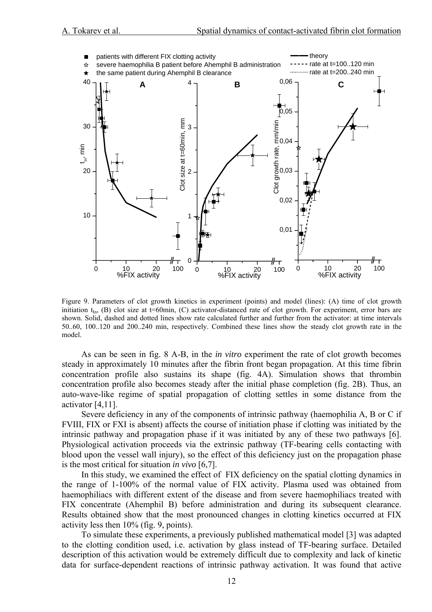

Figure 9. Parameters of clot growth kinetics in experiment (points) and model (lines): (A) time of clot growth initiation  $t_{\text{In}}$ , (B) clot size at t=60min, (C) activator-distanced rate of clot growth. For experiment, error bars are shown. Solid, dashed and dotted lines show rate calculated further and further from the activator: at time intervals 50..60, 100..120 and 200..240 min, respectively. Combined these lines show the steady clot growth rate in the model.

As can be seen in fig. 8 A-B, in the *in vitro* experiment the rate of clot growth becomes steady in approximately 10 minutes after the fibrin front began propagation. At this time fibrin concentration profile also sustains its shape (fig. 4A). Simulation shows that thrombin concentration profile also becomes steady after the initial phase completion (fig. 2B). Thus, an auto-wave-like regime of spatial propagation of clotting settles in some distance from the activator [4,11].

Severe deficiency in any of the components of intrinsic pathway (haemophilia A, B or C if FVIII, FIX or FXI is absent) affects the course of initiation phase if clotting was initiated by the intrinsic pathway and propagation phase if it was initiated by any of these two pathways [6]. Physiological activation proceeds via the extrinsic pathway (TF-bearing cells contacting with blood upon the vessel wall injury), so the effect of this deficiency just on the propagation phase is the most critical for situation *in vivo* [6,7].

In this study, we examined the effect of FIX deficiency on the spatial clotting dynamics in the range of 1-100% of the normal value of FIX activity. Plasma used was obtained from haemophiliacs with different extent of the disease and from severe haemophiliacs treated with FIX concentrate (Ahemphil B) before administration and during its subsequent clearance. Results obtained show that the most pronounced changes in clotting kinetics occurred at FIX activity less then 10% (fig. 9, points).

To simulate these experiments, a previously published mathematical model [3] was adapted to the clotting condition used, i.e. activation by glass instead of TF-bearing surface. Detailed description of this activation would be extremely difficult due to complexity and lack of kinetic data for surface-dependent reactions of intrinsic pathway activation. It was found that active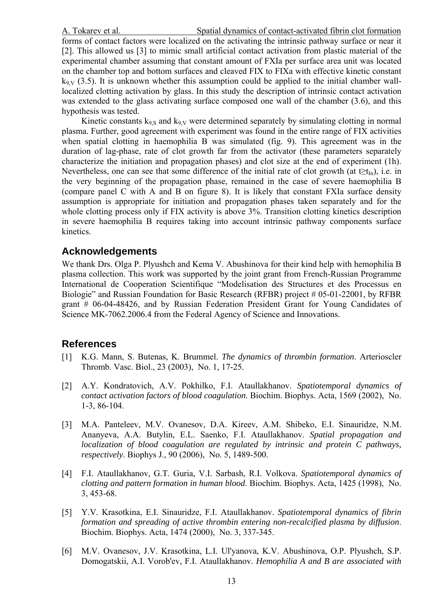A. Tokarev et al. Spatial dynamics of contact-activated fibrin clot formation

forms of contact factors were localized on the activating the intrinsic pathway surface or near it [2]. This allowed us [3] to mimic small artificial contact activation from plastic material of the experimental chamber assuming that constant amount of FXIa per surface area unit was located on the chamber top and bottom surfaces and cleaved FIX to FIXa with effective kinetic constant  $k_{9V}$  (3.5). It is unknown whether this assumption could be applied to the initial chamber walllocalized clotting activation by glass. In this study the description of intrinsic contact activation was extended to the glass activating surface composed one wall of the chamber (3.6), and this hypothesis was tested.

Kinetic constants  $k_{9S}$  and  $k_{9V}$  were determined separately by simulating clotting in normal plasma. Further, good agreement with experiment was found in the entire range of FIX activities when spatial clotting in haemophilia B was simulated (fig. 9). This agreement was in the duration of lag-phase, rate of clot growth far from the activator (these parameters separately characterize the initiation and propagation phases) and clot size at the end of experiment (1h). Nevertheless, one can see that some difference of the initial rate of clot growth (at t>t<sub>In</sub>), i.e. in the very beginning of the propagation phase, remained in the case of severe haemophilia B (compare panel C with A and B on figure 8). It is likely that constant FXIa surface density assumption is appropriate for initiation and propagation phases taken separately and for the whole clotting process only if FIX activity is above 3%. Transition clotting kinetics description in severe haemophilia B requires taking into account intrinsic pathway components surface kinetics.

## **Acknowledgements**

We thank Drs. Olga P. Plyushch and Kema V. Abushinova for their kind help with hemophilia B plasma collection. This work was supported by the joint grant from French-Russian Programme International de Cooperation Scientifique "Modelisation des Structures et des Processus en Biologie" and Russian Foundation for Basic Research (RFBR) project # 05-01-22001, by RFBR grant # 06-04-48426, and by Russian Federation President Grant for Young Candidates of Science MK-7062.2006.4 from the Federal Agency of Science and Innovations.

## **References**

- [1] K.G. Mann, S. Butenas, K. Brummel. *The dynamics of thrombin formation*. Arterioscler Thromb. Vasc. Biol., 23 (2003), No. 1, 17-25.
- [2] A.Y. Kondratovich, A.V. Pokhilko, F.I. Ataullakhanov. *Spatiotemporal dynamics of contact activation factors of blood coagulation*. Biochim. Biophys. Acta, 1569 (2002), No. 1-3, 86-104.
- [3] M.A. Panteleev, M.V. Ovanesov, D.A. Kireev, A.M. Shibeko, E.I. Sinauridze, N.M. Ananyeva, A.A. Butylin, E.L. Saenko, F.I. Ataullakhanov. *Spatial propagation and localization of blood coagulation are regulated by intrinsic and protein C pathways, respectively*. Biophys J., 90 (2006), No. 5, 1489-500.
- [4] F.I. Ataullakhanov, G.T. Guria, V.I. Sarbash, R.I. Volkova. *Spatiotemporal dynamics of clotting and pattern formation in human blood*. Biochim. Biophys. Acta, 1425 (1998), No. 3, 453-68.
- [5] Y.V. Krasotkina, E.I. Sinauridze, F.I. Ataullakhanov. *Spatiotemporal dynamics of fibrin formation and spreading of active thrombin entering non-recalcified plasma by diffusion*. Biochim. Biophys. Acta, 1474 (2000), No. 3, 337-345.
- [6] M.V. Ovanesov, J.V. Krasotkina, L.I. Ul'yanova, K.V. Abushinova, O.P. Plyushch, S.P. Domogatskii, A.I. Vorob'ev, F.I. Ataullakhanov. *Hemophilia A and B are associated with*